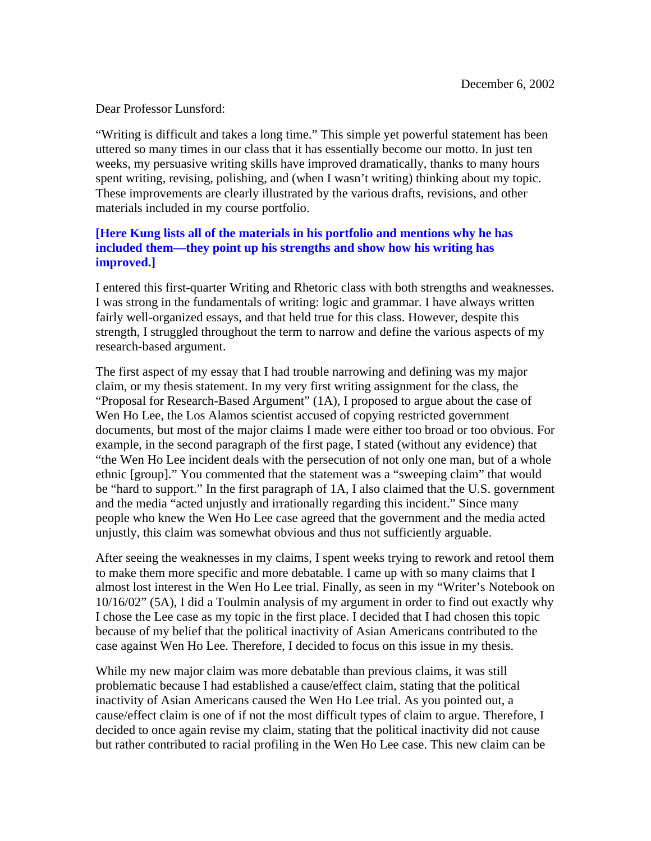Dear Professor Lunsford:

"Writing is difficult and takes a long time." This simple yet powerful statement has been uttered so many times in our class that it has essentially become our motto. In just ten weeks, my persuasive writing skills have improved dramatically, thanks to many hours spent writing, revising, polishing, and (when I wasn't writing) thinking about my topic. These improvements are clearly illustrated by the various drafts, revisions, and other materials included in my course portfolio.

## **[Here Kung lists all of the materials in his portfolio and mentions why he has included them—they point up his strengths and show how his writing has improved.]**

I entered this first-quarter Writing and Rhetoric class with both strengths and weaknesses. I was strong in the fundamentals of writing: logic and grammar. I have always written fairly well-organized essays, and that held true for this class. However, despite this strength, I struggled throughout the term to narrow and define the various aspects of my research-based argument.

The first aspect of my essay that I had trouble narrowing and defining was my major claim, or my thesis statement. In my very first writing assignment for the class, the "Proposal for Research-Based Argument" (1A), I proposed to argue about the case of Wen Ho Lee, the Los Alamos scientist accused of copying restricted government documents, but most of the major claims I made were either too broad or too obvious. For example, in the second paragraph of the first page, I stated (without any evidence) that "the Wen Ho Lee incident deals with the persecution of not only one man, but of a whole ethnic [group]." You commented that the statement was a "sweeping claim" that would be "hard to support." In the first paragraph of 1A, I also claimed that the U.S. government and the media "acted unjustly and irrationally regarding this incident." Since many people who knew the Wen Ho Lee case agreed that the government and the media acted unjustly, this claim was somewhat obvious and thus not sufficiently arguable.

After seeing the weaknesses in my claims, I spent weeks trying to rework and retool them to make them more specific and more debatable. I came up with so many claims that I almost lost interest in the Wen Ho Lee trial. Finally, as seen in my "Writer's Notebook on 10/16/02" (5A), I did a Toulmin analysis of my argument in order to find out exactly why I chose the Lee case as my topic in the first place. I decided that I had chosen this topic because of my belief that the political inactivity of Asian Americans contributed to the case against Wen Ho Lee. Therefore, I decided to focus on this issue in my thesis.

While my new major claim was more debatable than previous claims, it was still problematic because I had established a cause/effect claim, stating that the political inactivity of Asian Americans caused the Wen Ho Lee trial. As you pointed out, a cause/effect claim is one of if not the most difficult types of claim to argue. Therefore, I decided to once again revise my claim, stating that the political inactivity did not cause but rather contributed to racial profiling in the Wen Ho Lee case. This new claim can be